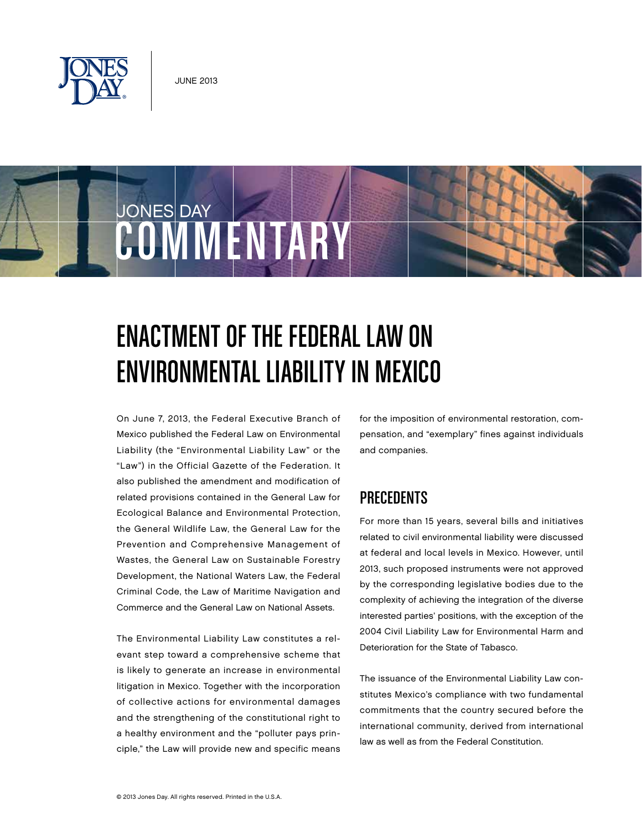

JONES DAY

# COMMENTARY

# Enactment of the Federal Law on Environmental Liability in Mexico

On June 7, 2013, the Federal Executive Branch of Mexico published the Federal Law on Environmental Liability (the "Environmental Liability Law" or the "Law") in the Official Gazette of the Federation. It also published the amendment and modification of related provisions contained in the General Law for Ecological Balance and Environmental Protection, the General Wildlife Law, the General Law for the Prevention and Comprehensive Management of Wastes, the General Law on Sustainable Forestry Development, the National Waters Law, the Federal Criminal Code, the Law of Maritime Navigation and Commerce and the General Law on National Assets.

The Environmental Liability Law constitutes a relevant step toward a comprehensive scheme that is likely to generate an increase in environmental litigation in Mexico. Together with the incorporation of collective actions for environmental damages and the strengthening of the constitutional right to a healthy environment and the "polluter pays principle," the Law will provide new and specific means for the imposition of environmental restoration, compensation, and "exemplary" fines against individuals and companies.

#### **PRECEDENTS**

For more than 15 years, several bills and initiatives related to civil environmental liability were discussed at federal and local levels in Mexico. However, until 2013, such proposed instruments were not approved by the corresponding legislative bodies due to the complexity of achieving the integration of the diverse interested parties' positions, with the exception of the 2004 Civil Liability Law for Environmental Harm and Deterioration for the State of Tabasco.

The issuance of the Environmental Liability Law constitutes Mexico's compliance with two fundamental commitments that the country secured before the international community, derived from international law as well as from the Federal Constitution.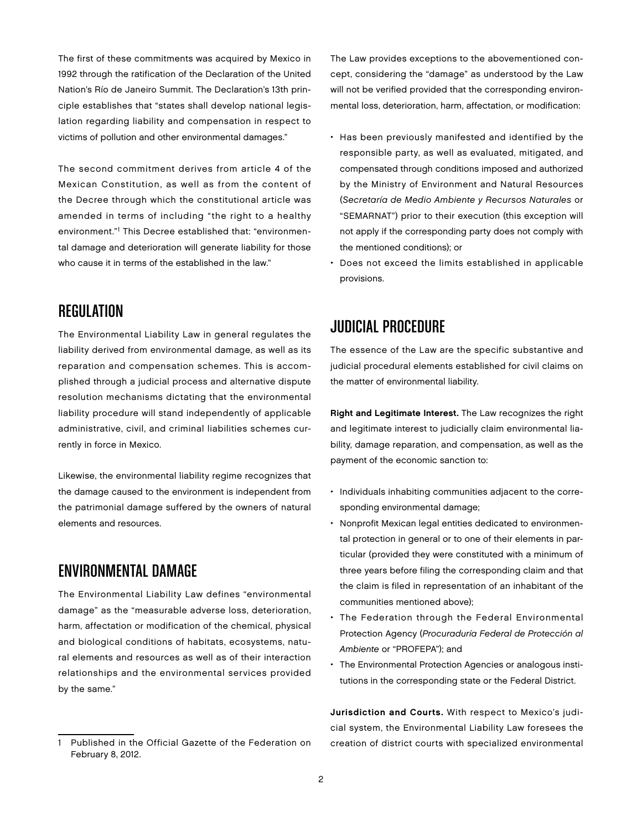The first of these commitments was acquired by Mexico in 1992 through the ratification of the Declaration of the United Nation's Río de Janeiro Summit. The Declaration's 13th principle establishes that "states shall develop national legislation regarding liability and compensation in respect to victims of pollution and other environmental damages."

The second commitment derives from article 4 of the Mexican Constitution, as well as from the content of the Decree through which the constitutional article was amended in terms of including "the right to a healthy environment."<sup>1</sup> This Decree established that: "environmental damage and deterioration will generate liability for those who cause it in terms of the established in the law."

#### REGULATION

The Environmental Liability Law in general regulates the liability derived from environmental damage, as well as its reparation and compensation schemes. This is accomplished through a judicial process and alternative dispute resolution mechanisms dictating that the environmental liability procedure will stand independently of applicable administrative, civil, and criminal liabilities schemes currently in force in Mexico.

Likewise, the environmental liability regime recognizes that the damage caused to the environment is independent from the patrimonial damage suffered by the owners of natural elements and resources.

#### Environmental Damage

The Environmental Liability Law defines "environmental damage" as the "measurable adverse loss, deterioration, harm, affectation or modification of the chemical, physical and biological conditions of habitats, ecosystems, natural elements and resources as well as of their interaction relationships and the environmental services provided by the same."

The Law provides exceptions to the abovementioned concept, considering the "damage" as understood by the Law will not be verified provided that the corresponding environmental loss, deterioration, harm, affectation, or modification:

- Has been previously manifested and identified by the responsible party, as well as evaluated, mitigated, and compensated through conditions imposed and authorized by the Ministry of Environment and Natural Resources (Secretaría de Medio Ambiente y Recursos Naturales or "SEMARNAT") prior to their execution (this exception will not apply if the corresponding party does not comply with the mentioned conditions); or
- Does not exceed the limits established in applicable provisions.

## Judicial Procedure

The essence of the Law are the specific substantive and judicial procedural elements established for civil claims on the matter of environmental liability.

Right and Legitimate Interest. The Law recognizes the right and legitimate interest to judicially claim environmental liability, damage reparation, and compensation, as well as the payment of the economic sanction to:

- Individuals inhabiting communities adjacent to the corresponding environmental damage;
- Nonprofit Mexican legal entities dedicated to environmental protection in general or to one of their elements in particular (provided they were constituted with a minimum of three years before filing the corresponding claim and that the claim is filed in representation of an inhabitant of the communities mentioned above);
- The Federation through the Federal Environmental Protection Agency (Procuraduría Federal de Protección al Ambiente or "PROFEPA"); and
- The Environmental Protection Agencies or analogous institutions in the corresponding state or the Federal District.

Jurisdiction and Courts. With respect to Mexico's judicial system, the Environmental Liability Law foresees the creation of district courts with specialized environmental

Published in the Official Gazette of the Federation on February 8, 2012.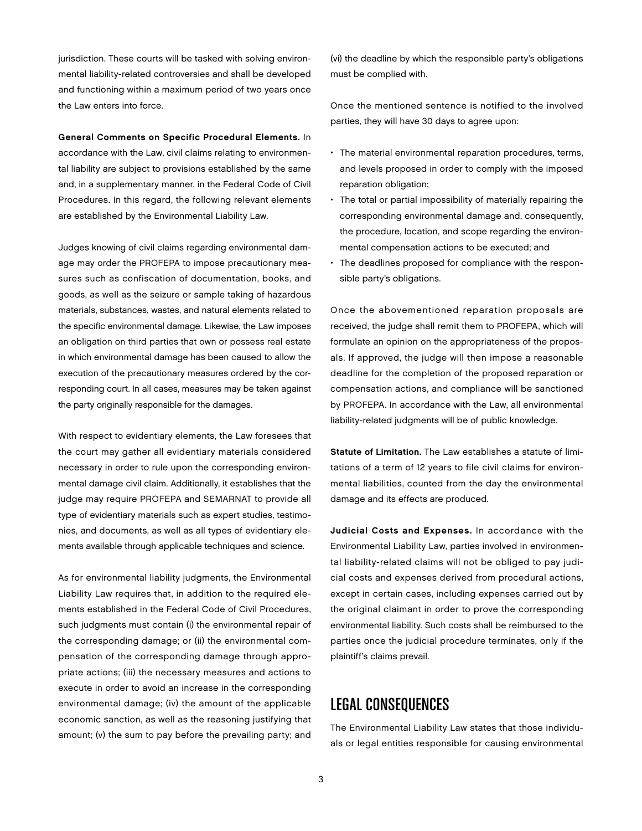jurisdiction. These courts will be tasked with solving environmental liability-related controversies and shall be developed and functioning within a maximum period of two years once the Law enters into force.

General Comments on Specific Procedural Elements. In accordance with the Law, civil claims relating to environmental liability are subject to provisions established by the same and, in a supplementary manner, in the Federal Code of Civil Procedures. In this regard, the following relevant elements are established by the Environmental Liability Law.

Judges knowing of civil claims regarding environmental damage may order the PROFEPA to impose precautionary measures such as confiscation of documentation, books, and goods, as well as the seizure or sample taking of hazardous materials, substances, wastes, and natural elements related to the specific environmental damage. Likewise, the Law imposes an obligation on third parties that own or possess real estate in which environmental damage has been caused to allow the execution of the precautionary measures ordered by the corresponding court. In all cases, measures may be taken against the party originally responsible for the damages.

With respect to evidentiary elements, the Law foresees that the court may gather all evidentiary materials considered necessary in order to rule upon the corresponding environmental damage civil claim. Additionally, it establishes that the judge may require PROFEPA and SEMARNAT to provide all type of evidentiary materials such as expert studies, testimonies, and documents, as well as all types of evidentiary elements available through applicable techniques and science.

As for environmental liability judgments, the Environmental Liability Law requires that, in addition to the required elements established in the Federal Code of Civil Procedures, such judgments must contain (i) the environmental repair of the corresponding damage; or (ii) the environmental compensation of the corresponding damage through appropriate actions; (iii) the necessary measures and actions to execute in order to avoid an increase in the corresponding environmental damage; (iv) the amount of the applicable economic sanction, as well as the reasoning justifying that amount; (v) the sum to pay before the prevailing party; and

(vi) the deadline by which the responsible party's obligations must be complied with.

Once the mentioned sentence is notified to the involved parties, they will have 30 days to agree upon:

- The material environmental reparation procedures, terms, and levels proposed in order to comply with the imposed reparation obligation;
- The total or partial impossibility of materially repairing the corresponding environmental damage and, consequently, the procedure, location, and scope regarding the environmental compensation actions to be executed; and
- The deadlines proposed for compliance with the responsible party's obligations.

Once the abovementioned reparation proposals are received, the judge shall remit them to PROFEPA, which will formulate an opinion on the appropriateness of the proposals. If approved, the judge will then impose a reasonable deadline for the completion of the proposed reparation or compensation actions, and compliance will be sanctioned by PROFEPA. In accordance with the Law, all environmental liability-related judgments will be of public knowledge.

Statute of Limitation. The Law establishes a statute of limitations of a term of 12 years to file civil claims for environmental liabilities, counted from the day the environmental damage and its effects are produced.

Judicial Costs and Expenses. In accordance with the Environmental Liability Law, parties involved in environmental liability-related claims will not be obliged to pay judicial costs and expenses derived from procedural actions, except in certain cases, including expenses carried out by the original claimant in order to prove the corresponding environmental liability. Such costs shall be reimbursed to the parties once the judicial procedure terminates, only if the plaintiff's claims prevail.

## Legal Consequences

The Environmental Liability Law states that those individuals or legal entities responsible for causing environmental